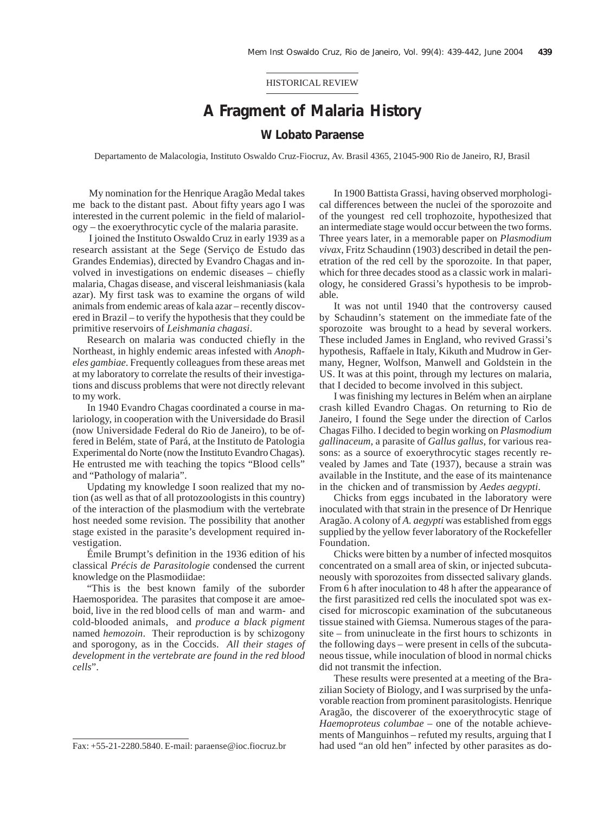HISTORICAL REVIEW

## **A Fragment of Malaria History**

## **W Lobato Paraense**

Departamento de Malacologia, Instituto Oswaldo Cruz-Fiocruz, Av. Brasil 4365, 21045-900 Rio de Janeiro, RJ, Brasil

 My nomination for the Henrique Aragão Medal takes me back to the distant past. About fifty years ago I was interested in the current polemic in the field of malariology – the exoerythrocytic cycle of the malaria parasite.

 I joined the Instituto Oswaldo Cruz in early 1939 as a research assistant at the Sege (Serviço de Estudo das Grandes Endemias), directed by Evandro Chagas and involved in investigations on endemic diseases – chiefly malaria, Chagas disease, and visceral leishmaniasis (kala azar). My first task was to examine the organs of wild animals from endemic areas of kala azar – recently discovered in Brazil – to verify the hypothesis that they could be primitive reservoirs of *Leishmania chagasi*.

Research on malaria was conducted chiefly in the Northeast, in highly endemic areas infested with *Anopheles gambiae*. Frequently colleagues from these areas met at my laboratory to correlate the results of their investigations and discuss problems that were not directly relevant to my work.

In 1940 Evandro Chagas coordinated a course in malariology, in cooperation with the Universidade do Brasil (now Universidade Federal do Rio de Janeiro), to be offered in Belém, state of Pará, at the Instituto de Patologia Experimental do Norte (now the Instituto Evandro Chagas). He entrusted me with teaching the topics "Blood cells" and "Pathology of malaria".

Updating my knowledge I soon realized that my notion (as well as that of all protozoologists in this country) of the interaction of the plasmodium with the vertebrate host needed some revision. The possibility that another stage existed in the parasite's development required investigation.

Émile Brumpt's definition in the 1936 edition of his classical *Précis de Parasitologie* condensed the current knowledge on the Plasmodiidae:

"This is the best known family of the suborder Haemosporidea. The parasites that compose it are amoeboid, live in the red blood cells of man and warm- and cold-blooded animals, and *produce a black pigment* named *hemozoin*. Their reproduction is by schizogony and sporogony, as in the Coccids. *All their stages of development in the vertebrate are found in the red blood cells*".

In 1900 Battista Grassi, having observed morphological differences between the nuclei of the sporozoite and of the youngest red cell trophozoite, hypothesized that an intermediate stage would occur between the two forms. Three years later, in a memorable paper on *Plasmodium vivax*, Fritz Schaudinn (1903) described in detail the penetration of the red cell by the sporozoite. In that paper, which for three decades stood as a classic work in malariology, he considered Grassi's hypothesis to be improbable.

It was not until 1940 that the controversy caused by Schaudinn's statement on the immediate fate of the sporozoite was brought to a head by several workers. These included James in England, who revived Grassi's hypothesis, Raffaele in Italy, Kikuth and Mudrow in Germany, Hegner, Wolfson, Manwell and Goldstein in the US. It was at this point, through my lectures on malaria, that I decided to become involved in this subject.

I was finishing my lectures in Belém when an airplane crash killed Evandro Chagas. On returning to Rio de Janeiro, I found the Sege under the direction of Carlos Chagas Filho. I decided to begin working on *Plasmodium gallinaceum*, a parasite of *Gallus gallus*, for various reasons: as a source of exoerythrocytic stages recently revealed by James and Tate (1937), because a strain was available in the Institute, and the ease of its maintenance in the chicken and of transmission by *Aedes aegypti*.

Chicks from eggs incubated in the laboratory were inoculated with that strain in the presence of Dr Henrique Aragão. A colony of *A. aegypti* was established from eggs supplied by the yellow fever laboratory of the Rockefeller Foundation.

Chicks were bitten by a number of infected mosquitos concentrated on a small area of skin, or injected subcutaneously with sporozoites from dissected salivary glands. From 6 h after inoculation to 48 h after the appearance of the first parasitized red cells the inoculated spot was excised for microscopic examination of the subcutaneous tissue stained with Giemsa. Numerous stages of the parasite – from uninucleate in the first hours to schizonts in the following days – were present in cells of the subcutaneous tissue, while inoculation of blood in normal chicks did not transmit the infection.

These results were presented at a meeting of the Brazilian Society of Biology, and I was surprised by the unfavorable reaction from prominent parasitologists. Henrique Aragão, the discoverer of the exoerythrocytic stage of *Haemoproteus columbae* – one of the notable achievements of Manguinhos – refuted my results, arguing that I Fax: +55-21-2280.5840. E-mail: paraense@ioc.fiocruz.br had used "an old hen" infected by other parasites as do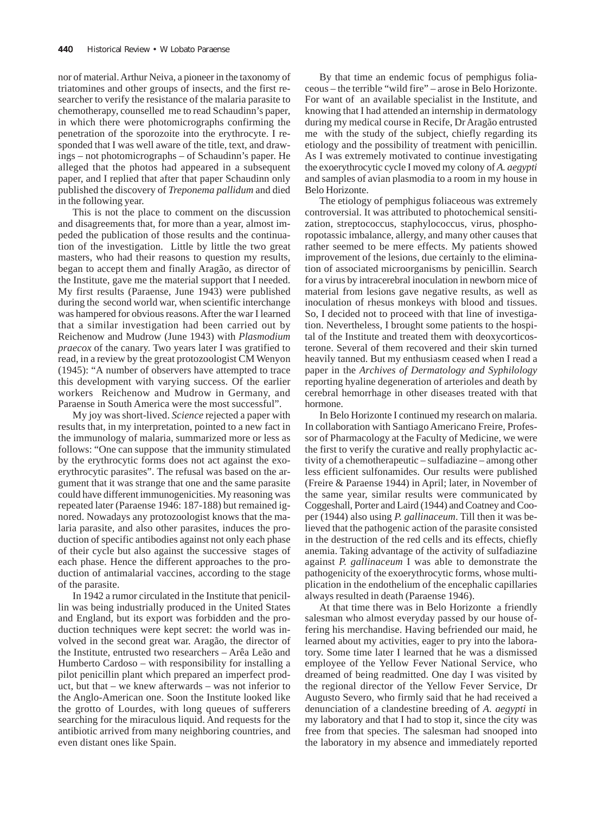nor of material. Arthur Neiva, a pioneer in the taxonomy of triatomines and other groups of insects, and the first researcher to verify the resistance of the malaria parasite to chemotherapy, counselled me to read Schaudinn's paper, in which there were photomicrographs confirming the penetration of the sporozoite into the erythrocyte. I responded that I was well aware of the title, text, and drawings – not photomicrographs – of Schaudinn's paper. He alleged that the photos had appeared in a subsequent paper, and I replied that after that paper Schaudinn only published the discovery of *Treponema pallidum* and died in the following year.

This is not the place to comment on the discussion and disagreements that, for more than a year, almost impeded the publication of those results and the continuation of the investigation. Little by little the two great masters, who had their reasons to question my results, began to accept them and finally Aragão, as director of the Institute, gave me the material support that I needed. My first results (Paraense, June 1943) were published during the second world war, when scientific interchange was hampered for obvious reasons. After the war I learned that a similar investigation had been carried out by Reichenow and Mudrow (June 1943) with *Plasmodium praecox* of the canary. Two years later I was gratified to read, in a review by the great protozoologist CM Wenyon (1945): "A number of observers have attempted to trace this development with varying success. Of the earlier workers Reichenow and Mudrow in Germany, and Paraense in South America were the most successful".

My joy was short-lived. *Science* rejected a paper with results that, in my interpretation, pointed to a new fact in the immunology of malaria, summarized more or less as follows: "One can suppose that the immunity stimulated by the erythrocytic forms does not act against the exoerythrocytic parasites". The refusal was based on the argument that it was strange that one and the same parasite could have different immunogenicities. My reasoning was repeated later (Paraense 1946: 187-188) but remained ignored. Nowadays any protozoologist knows that the malaria parasite, and also other parasites, induces the production of specific antibodies against not only each phase of their cycle but also against the successive stages of each phase. Hence the different approaches to the production of antimalarial vaccines, according to the stage of the parasite.

In 1942 a rumor circulated in the Institute that penicillin was being industrially produced in the United States and England, but its export was forbidden and the production techniques were kept secret: the world was involved in the second great war. Aragão, the director of the Institute, entrusted two researchers – Arêa Leão and Humberto Cardoso – with responsibility for installing a pilot penicillin plant which prepared an imperfect product, but that – we knew afterwards – was not inferior to the Anglo-American one. Soon the Institute looked like the grotto of Lourdes, with long queues of sufferers searching for the miraculous liquid. And requests for the antibiotic arrived from many neighboring countries, and even distant ones like Spain.

By that time an endemic focus of pemphigus foliaceous – the terrible "wild fire" – arose in Belo Horizonte. For want of an available specialist in the Institute, and knowing that I had attended an internship in dermatology during my medical course in Recife, Dr Aragão entrusted me with the study of the subject, chiefly regarding its etiology and the possibility of treatment with penicillin. As I was extremely motivated to continue investigating the exoerythrocytic cycle I moved my colony of *A. aegypti* and samples of avian plasmodia to a room in my house in Belo Horizonte.

The etiology of pemphigus foliaceous was extremely controversial. It was attributed to photochemical sensitization, streptococcus, staphylococcus, virus, phosphoropotassic imbalance, allergy, and many other causes that rather seemed to be mere effects. My patients showed improvement of the lesions, due certainly to the elimination of associated microorganisms by penicillin. Search for a virus by intracerebral inoculation in newborn mice of material from lesions gave negative results, as well as inoculation of rhesus monkeys with blood and tissues. So, I decided not to proceed with that line of investigation. Nevertheless, I brought some patients to the hospital of the Institute and treated them with deoxycorticosterone. Several of them recovered and their skin turned heavily tanned. But my enthusiasm ceased when I read a paper in the *Archives of Dermatology and Syphilology* reporting hyaline degeneration of arterioles and death by cerebral hemorrhage in other diseases treated with that hormone.

In Belo Horizonte I continued my research on malaria. In collaboration with Santiago Americano Freire, Professor of Pharmacology at the Faculty of Medicine, we were the first to verify the curative and really prophylactic activity of a chemotherapeutic – sulfadiazine – among other less efficient sulfonamides. Our results were published (Freire & Paraense 1944) in April; later, in November of the same year, similar results were communicated by Coggeshall, Porter and Laird (1944) and Coatney and Cooper (1944) also using *P. gallinaceum*. Till then it was believed that the pathogenic action of the parasite consisted in the destruction of the red cells and its effects, chiefly anemia. Taking advantage of the activity of sulfadiazine against *P. gallinaceum* I was able to demonstrate the pathogenicity of the exoerythrocytic forms, whose multiplication in the endothelium of the encephalic capillaries always resulted in death (Paraense 1946).

At that time there was in Belo Horizonte a friendly salesman who almost everyday passed by our house offering his merchandise. Having befriended our maid, he learned about my activities, eager to pry into the laboratory. Some time later I learned that he was a dismissed employee of the Yellow Fever National Service, who dreamed of being readmitted. One day I was visited by the regional director of the Yellow Fever Service, Dr Augusto Severo, who firmly said that he had received a denunciation of a clandestine breeding of *A. aegypti* in my laboratory and that I had to stop it, since the city was free from that species. The salesman had snooped into the laboratory in my absence and immediately reported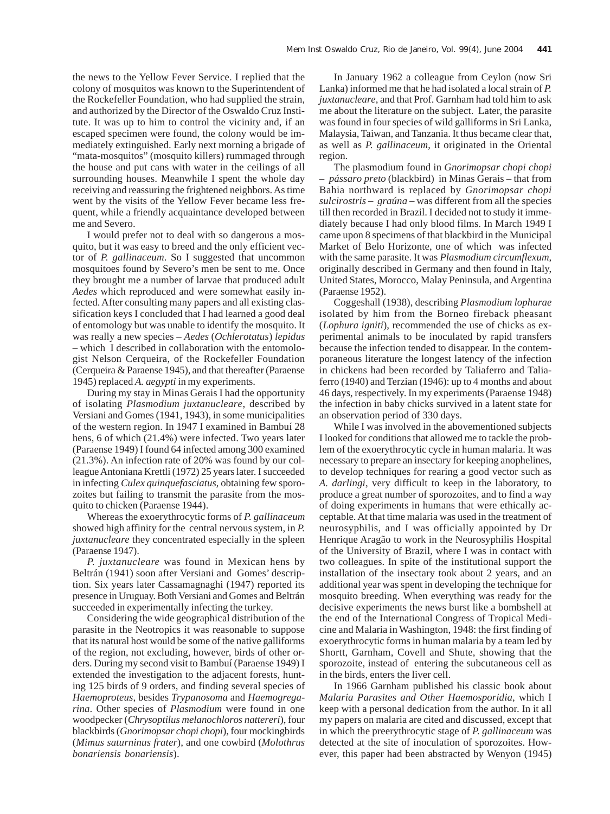the news to the Yellow Fever Service. I replied that the colony of mosquitos was known to the Superintendent of the Rockefeller Foundation, who had supplied the strain, and authorized by the Director of the Oswaldo Cruz Institute. It was up to him to control the vicinity and, if an escaped specimen were found, the colony would be immediately extinguished. Early next morning a brigade of "mata-mosquitos" (mosquito killers) rummaged through the house and put cans with water in the ceilings of all surrounding houses. Meanwhile I spent the whole day receiving and reassuring the frightened neighbors. As time went by the visits of the Yellow Fever became less frequent, while a friendly acquaintance developed between me and Severo.

I would prefer not to deal with so dangerous a mosquito, but it was easy to breed and the only efficient vector of *P. gallinaceum*. So I suggested that uncommon mosquitoes found by Severo's men be sent to me. Once they brought me a number of larvae that produced adult *Aedes* which reproduced and were somewhat easily infected. After consulting many papers and all existing classification keys I concluded that I had learned a good deal of entomology but was unable to identify the mosquito. It was really a new species – *Aedes* (*Ochlerotatus*) *lepidus* – which I described in collaboration with the entomologist Nelson Cerqueira, of the Rockefeller Foundation (Cerqueira & Paraense 1945), and that thereafter (Paraense 1945) replaced *A. aegypti* in my experiments.

During my stay in Minas Gerais I had the opportunity of isolating *Plasmodium juxtanucleare*, described by Versiani and Gomes (1941, 1943), in some municipalities of the western region. In 1947 I examined in Bambuí 28 hens, 6 of which (21.4%) were infected. Two years later (Paraense 1949) I found 64 infected among 300 examined (21.3%). An infection rate of 20% was found by our colleague Antoniana Krettli (1972) 25 years later. I succeeded in infecting *Culex quinquefasciatus*, obtaining few sporozoites but failing to transmit the parasite from the mosquito to chicken (Paraense 1944).

Whereas the exoerythrocytic forms of *P. gallinaceum* showed high affinity for the central nervous system, in *P. juxtanucleare* they concentrated especially in the spleen (Paraense 1947).

*P. juxtanucleare* was found in Mexican hens by Beltrán (1941) soon after Versiani and Gomes' description. Six years later Cassamagnaghi (1947) reported its presence in Uruguay. Both Versiani and Gomes and Beltrán succeeded in experimentally infecting the turkey.

Considering the wide geographical distribution of the parasite in the Neotropics it was reasonable to suppose that its natural host would be some of the native galliforms of the region, not excluding, however, birds of other orders. During my second visit to Bambuí (Paraense 1949) I extended the investigation to the adjacent forests, hunting 125 birds of 9 orders, and finding several species of *Haemoproteus*, besides *Trypanosoma* and *Haemogregarina*. Other species of *Plasmodium* were found in one woodpecker (*Chrysoptilus melanochloros nattereri*), four blackbirds (*Gnorimopsar chopi chopi*), four mockingbirds (*Mimus saturninus frater*), and one cowbird (*Molothrus bonariensis bonariensis*).

In January 1962 a colleague from Ceylon (now Sri Lanka) informed me that he had isolated a local strain of *P. juxtanucleare*, and that Prof. Garnham had told him to ask me about the literature on the subject. Later, the parasite was found in four species of wild galliforms in Sri Lanka, Malaysia, Taiwan, and Tanzania. It thus became clear that, as well as *P. gallinaceum*, it originated in the Oriental region.

The plasmodium found in *Gnorimopsar chopi chopi* – *pássaro preto* (blackbird) in Minas Gerais – that from Bahia northward is replaced by *Gnorimopsar chopi sulcirostris – graúna* – was different from all the species till then recorded in Brazil. I decided not to study it immediately because I had only blood films. In March 1949 I came upon 8 specimens of that blackbird in the Municipal Market of Belo Horizonte, one of which was infected with the same parasite. It was *Plasmodium circumflexum*, originally described in Germany and then found in Italy, United States, Morocco, Malay Peninsula, and Argentina (Paraense 1952).

Coggeshall (1938), describing *Plasmodium lophurae* isolated by him from the Borneo fireback pheasant (*Lophura igniti*), recommended the use of chicks as experimental animals to be inoculated by rapid transfers because the infection tended to disappear. In the contemporaneous literature the longest latency of the infection in chickens had been recorded by Taliaferro and Taliaferro (1940) and Terzian (1946): up to 4 months and about 46 days, respectively. In my experiments (Paraense 1948) the infection in baby chicks survived in a latent state for an observation period of 330 days.

While I was involved in the abovementioned subjects I looked for conditions that allowed me to tackle the problem of the exoerythrocytic cycle in human malaria. It was necessary to prepare an insectary for keeping anophelines, to develop techniques for rearing a good vector such as *A. darlingi*, very difficult to keep in the laboratory, to produce a great number of sporozoites, and to find a way of doing experiments in humans that were ethically acceptable. At that time malaria was used in the treatment of neurosyphilis, and I was officially appointed by Dr Henrique Aragão to work in the Neurosyphilis Hospital of the University of Brazil, where I was in contact with two colleagues. In spite of the institutional support the installation of the insectary took about 2 years, and an additional year was spent in developing the technique for mosquito breeding. When everything was ready for the decisive experiments the news burst like a bombshell at the end of the International Congress of Tropical Medicine and Malaria in Washington, 1948: the first finding of exoerythrocytic forms in human malaria by a team led by Shortt, Garnham, Covell and Shute, showing that the sporozoite, instead of entering the subcutaneous cell as in the birds, enters the liver cell.

In 1966 Garnham published his classic book about *Malaria Parasites and Other Haemosporidia*, which I keep with a personal dedication from the author. In it all my papers on malaria are cited and discussed, except that in which the preerythrocytic stage of *P. gallinaceum* was detected at the site of inoculation of sporozoites. However, this paper had been abstracted by Wenyon (1945)